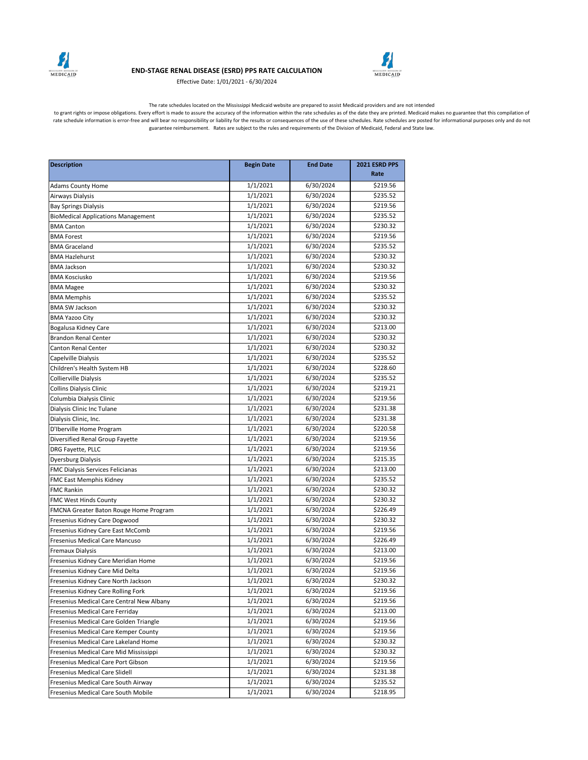

## **END-STAGE RENAL DISEASE (ESRD) PPS RATE CALCULATION**

Effective Date: 1/01/2021 - 6/30/2024



The rate schedules located on the Mississippi Medicaid website are prepared to assist Medicaid providers and are not intended

to grant rights or impose obligations. Every effort is made to assure the accuracy of the information within the rate schedules as of the date they are printed. Medicaid makes no guarantee that this compilation of<br>rate sch guarantee reimbursement. Rates are subject to the rules and requirements of the Division of Medicaid, Federal and State law.

| <b>Description</b>                        | <b>Begin Date</b> | <b>End Date</b> | 2021 ESRD PPS |
|-------------------------------------------|-------------------|-----------------|---------------|
|                                           |                   |                 | Rate          |
| <b>Adams County Home</b>                  | 1/1/2021          | 6/30/2024       | \$219.56      |
| Airways Dialysis                          | 1/1/2021          | 6/30/2024       | \$235.52      |
| <b>Bay Springs Dialysis</b>               | 1/1/2021          | 6/30/2024       | \$219.56      |
| <b>BioMedical Applications Management</b> | 1/1/2021          | 6/30/2024       | \$235.52      |
| <b>BMA Canton</b>                         | 1/1/2021          | 6/30/2024       | \$230.32      |
| <b>BMA Forest</b>                         | 1/1/2021          | 6/30/2024       | \$219.56      |
| <b>BMA Graceland</b>                      | 1/1/2021          | 6/30/2024       | \$235.52      |
| <b>BMA Hazlehurst</b>                     | 1/1/2021          | 6/30/2024       | \$230.32      |
| <b>BMA Jackson</b>                        | 1/1/2021          | 6/30/2024       | \$230.32      |
| <b>BMA Kosciusko</b>                      | 1/1/2021          | 6/30/2024       | \$219.56      |
| <b>BMA Magee</b>                          | 1/1/2021          | 6/30/2024       | \$230.32      |
| <b>BMA Memphis</b>                        | 1/1/2021          | 6/30/2024       | \$235.52      |
| <b>BMA SW Jackson</b>                     | 1/1/2021          | 6/30/2024       | \$230.32      |
| <b>BMA Yazoo City</b>                     | 1/1/2021          | 6/30/2024       | \$230.32      |
| Bogalusa Kidney Care                      | 1/1/2021          | 6/30/2024       | \$213.00      |
| <b>Brandon Renal Center</b>               | 1/1/2021          | 6/30/2024       | \$230.32      |
| <b>Canton Renal Center</b>                | 1/1/2021          | 6/30/2024       | \$230.32      |
| Capelville Dialysis                       | 1/1/2021          | 6/30/2024       | \$235.52      |
| Children's Health System HB               | 1/1/2021          | 6/30/2024       | \$228.60      |
| Collierville Dialysis                     | 1/1/2021          | 6/30/2024       | \$235.52      |
| Collins Dialysis Clinic                   | 1/1/2021          | 6/30/2024       | \$219.21      |
| Columbia Dialysis Clinic                  | 1/1/2021          | 6/30/2024       | \$219.56      |
| Dialysis Clinic Inc Tulane                | 1/1/2021          | 6/30/2024       | \$231.38      |
| Dialysis Clinic, Inc.                     | 1/1/2021          | 6/30/2024       | \$231.38      |
| D'Iberville Home Program                  | 1/1/2021          | 6/30/2024       | \$220.58      |
| Diversified Renal Group Fayette           | 1/1/2021          | 6/30/2024       | \$219.56      |
| DRG Fayette, PLLC                         | 1/1/2021          | 6/30/2024       | \$219.56      |
| Dyersburg Dialysis                        | 1/1/2021          | 6/30/2024       | \$215.35      |
| FMC Dialysis Services Felicianas          | 1/1/2021          | 6/30/2024       | \$213.00      |
| FMC East Memphis Kidney                   | 1/1/2021          | 6/30/2024       | \$235.52      |
| <b>FMC Rankin</b>                         | 1/1/2021          | 6/30/2024       | \$230.32      |
| FMC West Hinds County                     | 1/1/2021          | 6/30/2024       | \$230.32      |
| FMCNA Greater Baton Rouge Home Program    | 1/1/2021          | 6/30/2024       | \$226.49      |
| Fresenius Kidney Care Dogwood             | 1/1/2021          | 6/30/2024       | \$230.32      |
| Fresenius Kidney Care East McComb         | 1/1/2021          | 6/30/2024       | \$219.56      |
| Fresenius Medical Care Mancuso            | 1/1/2021          | 6/30/2024       | \$226.49      |
| <b>Fremaux Dialysis</b>                   | 1/1/2021          | 6/30/2024       | \$213.00      |
| Fresenius Kidney Care Meridian Home       | 1/1/2021          | 6/30/2024       | \$219.56      |
| Fresenius Kidney Care Mid Delta           | 1/1/2021          | 6/30/2024       | \$219.56      |
| Fresenius Kidney Care North Jackson       | 1/1/2021          | 6/30/2024       | \$230.32      |
| Fresenius Kidney Care Rolling Fork        | 1/1/2021          | 6/30/2024       | \$219.56      |
| Fresenius Medical Care Central New Albany | 1/1/2021          | 6/30/2024       | \$219.56      |
| Fresenius Medical Care Ferriday           | 1/1/2021          | 6/30/2024       | \$213.00      |
| Fresenius Medical Care Golden Triangle    | 1/1/2021          | 6/30/2024       | \$219.56      |
| Fresenius Medical Care Kemper County      | 1/1/2021          | 6/30/2024       | \$219.56      |
| Fresenius Medical Care Lakeland Home      | 1/1/2021          | 6/30/2024       | \$230.32      |
| Fresenius Medical Care Mid Mississippi    | 1/1/2021          | 6/30/2024       | \$230.32      |
| Fresenius Medical Care Port Gibson        | 1/1/2021          | 6/30/2024       | \$219.56      |
| Fresenius Medical Care Slidell            | 1/1/2021          | 6/30/2024       | \$231.38      |
| Fresenius Medical Care South Airway       | 1/1/2021          | 6/30/2024       | \$235.52      |
| Fresenius Medical Care South Mobile       | 1/1/2021          | 6/30/2024       | \$218.95      |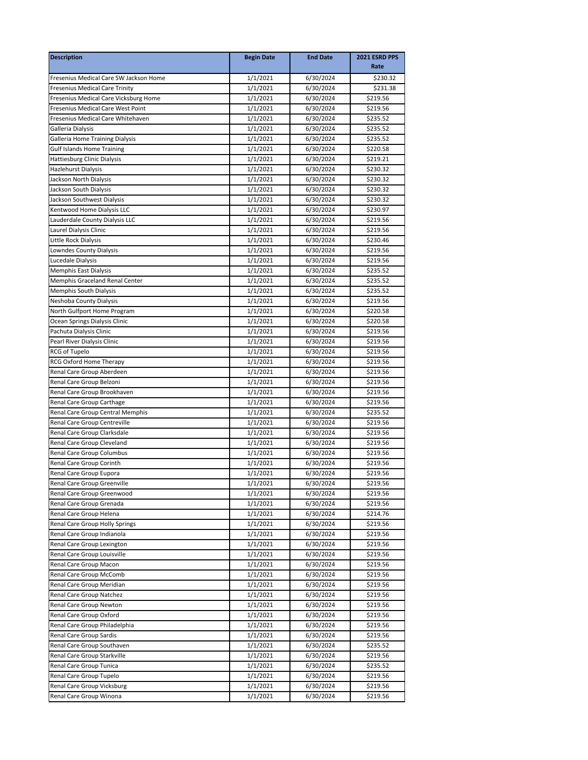| <b>Description</b>                     | <b>Begin Date</b> | <b>End Date</b> | 2021 ESRD PPS<br>Rate |
|----------------------------------------|-------------------|-----------------|-----------------------|
| Fresenius Medical Care SW Jackson Home | 1/1/2021          | 6/30/2024       | \$230.32              |
| <b>Fresenius Medical Care Trinity</b>  | 1/1/2021          | 6/30/2024       | \$231.38              |
| Fresenius Medical Care Vicksburg Home  | 1/1/2021          | 6/30/2024       | \$219.56              |
| Fresenius Medical Care West Point      | 1/1/2021          | 6/30/2024       | \$219.56              |
| Fresenius Medical Care Whitehaven      | 1/1/2021          | 6/30/2024       | \$235.52              |
| Galleria Dialysis                      | 1/1/2021          | 6/30/2024       | \$235.52              |
| Galleria Home Training Dialysis        | 1/1/2021          | 6/30/2024       | \$235.52              |
| <b>Gulf Islands Home Training</b>      | 1/1/2021          | 6/30/2024       | \$220.58              |
| Hattiesburg Clinic Dialysis            | 1/1/2021          | 6/30/2024       | \$219.21              |
| Hazlehurst Dialysis                    | 1/1/2021          | 6/30/2024       | \$230.32              |
| Jackson North Dialysis                 | 1/1/2021          | 6/30/2024       | \$230.32              |
| Jackson South Dialysis                 | 1/1/2021          | 6/30/2024       | \$230.32              |
| Jackson Southwest Dialysis             | 1/1/2021          | 6/30/2024       | \$230.32              |
| Kentwood Home Dialysis LLC             | 1/1/2021          | 6/30/2024       | \$230.97              |
| Lauderdale County Dialysis LLC         | 1/1/2021          | 6/30/2024       | \$219.56              |
| Laurel Dialysis Clinic                 | 1/1/2021          | 6/30/2024       | \$219.56              |
| Little Rock Dialysis                   | 1/1/2021          | 6/30/2024       | \$230.46              |
| Lowndes County Dialysis                | 1/1/2021          | 6/30/2024       | \$219.56              |
| Lucedale Dialysis                      | 1/1/2021          | 6/30/2024       | \$219.56              |
| Memphis East Dialysis                  | 1/1/2021          | 6/30/2024       | \$235.52              |
| Memphis Graceland Renal Center         | 1/1/2021          | 6/30/2024       | \$235.52              |
| <b>Memphis South Dialysis</b>          | 1/1/2021          | 6/30/2024       | \$235.52              |
| Neshoba County Dialysis                | 1/1/2021          | 6/30/2024       | \$219.56              |
| North Gulfport Home Program            | 1/1/2021          | 6/30/2024       | \$220.58              |
| Ocean Springs Dialysis Clinic          | 1/1/2021          | 6/30/2024       | \$220.58              |
| Pachuta Dialysis Clinic                | 1/1/2021          | 6/30/2024       | \$219.56              |
| Pearl River Dialysis Clinic            | 1/1/2021          | 6/30/2024       | \$219.56              |
| RCG of Tupelo                          | 1/1/2021          | 6/30/2024       | \$219.56              |
| RCG Oxford Home Therapy                | 1/1/2021          | 6/30/2024       | \$219.56              |
| Renal Care Group Aberdeen              | 1/1/2021          | 6/30/2024       | \$219.56              |
| Renal Care Group Belzoni               | 1/1/2021          | 6/30/2024       | \$219.56              |
| Renal Care Group Brookhaven            | 1/1/2021          | 6/30/2024       | \$219.56              |
| Renal Care Group Carthage              | 1/1/2021          | 6/30/2024       | \$219.56              |
| Renal Care Group Central Memphis       | 1/1/2021          | 6/30/2024       | \$235.52              |
| Renal Care Group Centreville           | 1/1/2021          | 6/30/2024       | \$219.56              |
| Renal Care Group Clarksdale            | 1/1/2021          | 6/30/2024       | \$219.56              |
| Renal Care Group Cleveland             | 1/1/2021          | 6/30/2024       | \$219.56              |
| Renal Care Group Columbus              | 1/1/2021          | 6/30/2024       | \$219.56              |
| Renal Care Group Corinth               | 1/1/2021          | 6/30/2024       | \$219.56              |
| Renal Care Group Eupora                | 1/1/2021          | 6/30/2024       | \$219.56              |
| Renal Care Group Greenville            | 1/1/2021          | 6/30/2024       | \$219.56              |
| Renal Care Group Greenwood             | 1/1/2021          | 6/30/2024       | \$219.56              |
| Renal Care Group Grenada               | 1/1/2021          | 6/30/2024       | \$219.56              |
| Renal Care Group Helena                | 1/1/2021          | 6/30/2024       | \$214.76              |
| Renal Care Group Holly Springs         | 1/1/2021          | 6/30/2024       | \$219.56              |
| Renal Care Group Indianola             | 1/1/2021          | 6/30/2024       | \$219.56              |
| Renal Care Group Lexington             | 1/1/2021          | 6/30/2024       | \$219.56              |
| Renal Care Group Louisville            | 1/1/2021          | 6/30/2024       | \$219.56              |
| Renal Care Group Macon                 | 1/1/2021          | 6/30/2024       | \$219.56              |
| Renal Care Group McComb                | 1/1/2021          | 6/30/2024       | \$219.56              |
| Renal Care Group Meridian              | 1/1/2021          | 6/30/2024       | \$219.56              |
| Renal Care Group Natchez               | 1/1/2021          | 6/30/2024       | \$219.56              |
| Renal Care Group Newton                | 1/1/2021          | 6/30/2024       | \$219.56              |
| Renal Care Group Oxford                | 1/1/2021          | 6/30/2024       | \$219.56              |
| Renal Care Group Philadelphia          | 1/1/2021          | 6/30/2024       | \$219.56              |
| Renal Care Group Sardis                | 1/1/2021          | 6/30/2024       | \$219.56              |
| Renal Care Group Southaven             | 1/1/2021          | 6/30/2024       | \$235.52              |
| Renal Care Group Starkville            | 1/1/2021          | 6/30/2024       | \$219.56              |
| Renal Care Group Tunica                | 1/1/2021          | 6/30/2024       | \$235.52              |
| Renal Care Group Tupelo                | 1/1/2021          | 6/30/2024       | \$219.56              |
| Renal Care Group Vicksburg             | 1/1/2021          | 6/30/2024       | \$219.56              |
| Renal Care Group Winona                | 1/1/2021          | 6/30/2024       | \$219.56              |